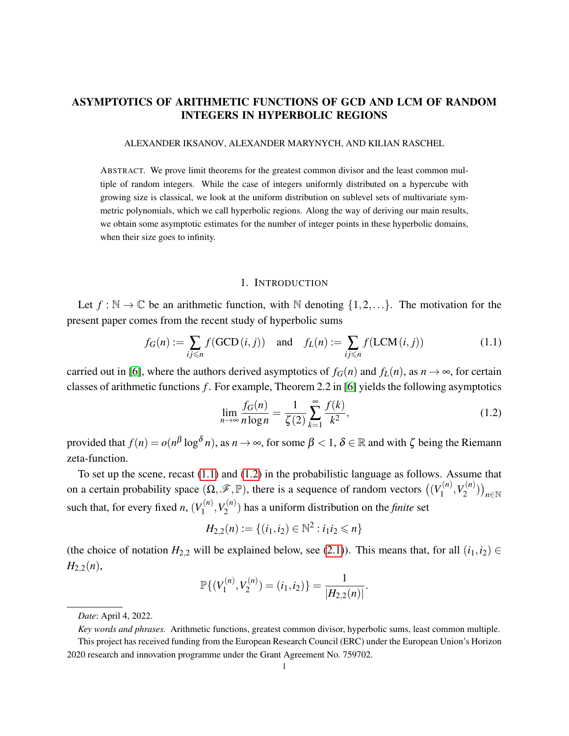## ASYMPTOTICS OF ARITHMETIC FUNCTIONS OF GCD AND LCM OF RANDOM INTEGERS IN HYPERBOLIC REGIONS

ALEXANDER IKSANOV, ALEXANDER MARYNYCH, AND KILIAN RASCHEL

ABSTRACT. We prove limit theorems for the greatest common divisor and the least common multiple of random integers. While the case of integers uniformly distributed on a hypercube with growing size is classical, we look at the uniform distribution on sublevel sets of multivariate symmetric polynomials, which we call hyperbolic regions. Along the way of deriving our main results, we obtain some asymptotic estimates for the number of integer points in these hyperbolic domains, when their size goes to infinity.

#### 1. INTRODUCTION

Let  $f : \mathbb{N} \to \mathbb{C}$  be an arithmetic function, with  $\mathbb N$  denoting  $\{1, 2, ...\}$ . The motivation for the present paper comes from the recent study of hyperbolic sums

<span id="page-0-0"></span>
$$
f_G(n) := \sum_{ij \le n} f(\text{GCD}(i, j)) \quad \text{and} \quad f_L(n) := \sum_{ij \le n} f(\text{LCM}(i, j)) \tag{1.1}
$$

carried out in [\[6\]](#page-17-0), where the authors derived asymptotics of  $f_G(n)$  and  $f_L(n)$ , as  $n \to \infty$ , for certain classes of arithmetic functions *f* . For example, Theorem 2.2 in [\[6\]](#page-17-0) yields the following asymptotics

<span id="page-0-1"></span>
$$
\lim_{n \to \infty} \frac{f_G(n)}{n \log n} = \frac{1}{\zeta(2)} \sum_{k=1}^{\infty} \frac{f(k)}{k^2},
$$
\n(1.2)

provided that  $f(n) = o(n^{\beta} \log^{\delta} n)$ , as  $n \to \infty$ , for some  $\beta < 1$ ,  $\delta \in \mathbb{R}$  and with  $\zeta$  being the Riemann zeta-function.

To set up the scene, recast [\(1.1\)](#page-0-0) and [\(1.2\)](#page-0-1) in the probabilistic language as follows. Assume that on a certain probability space  $(\Omega, \mathscr{F}, \mathbb{P})$ , there is a sequence of random vectors  $((V_1^{(n)})^T)$  $Y_1^{(n)}, V_2^{(n)}$  $\binom{n}{2}$ ) $\binom{n}{n \in \mathbb{N}}$ such that, for every fixed *n*,  $(V_1^{(n)})$  $Y_1^{(n)}, Y_2^{(n)}$  $2^{(n)}$ ) has a uniform distribution on the *finite* set

$$
H_{2,2}(n) := \{(i_1, i_2) \in \mathbb{N}^2 : i_1 i_2 \leq n\}
$$

(the choice of notation  $H_{2,2}$  will be explained below, see [\(2.1\)](#page-1-0)). This means that, for all  $(i_1,i_2) \in$  $H_{2,2}(n)$ ,

$$
\mathbb{P}\{(V_1^{(n)}, V_2^{(n)}) = (i_1, i_2)\} = \frac{1}{|H_{2,2}(n)|}.
$$

*Date*: April 4, 2022.

*Key words and phrases.* Arithmetic functions, greatest common divisor, hyperbolic sums, least common multiple.

This project has received funding from the European Research Council (ERC) under the European Union's Horizon 2020 research and innovation programme under the Grant Agreement No. 759702.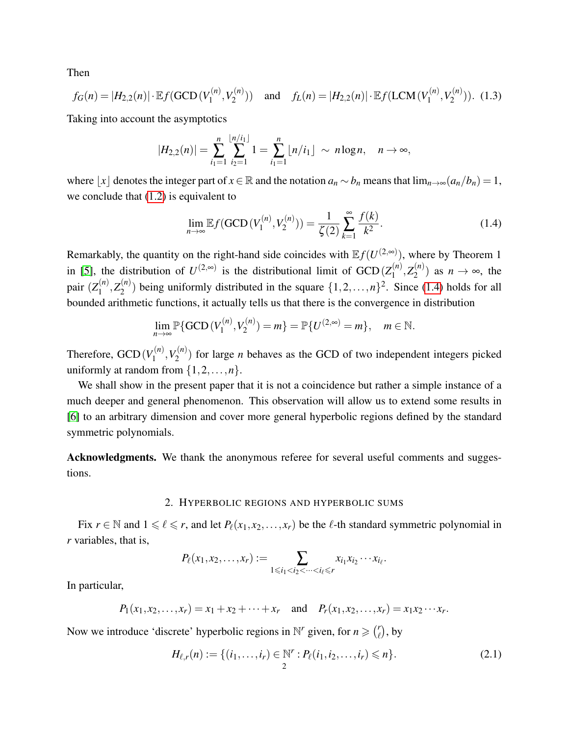Then

<span id="page-1-2"></span>
$$
f_G(n) = |H_{2,2}(n)| \cdot \mathbb{E}f(\text{GCD}(V_1^{(n)}, V_2^{(n)})) \quad \text{and} \quad f_L(n) = |H_{2,2}(n)| \cdot \mathbb{E}f(\text{LCM}(V_1^{(n)}, V_2^{(n)})). \tag{1.3}
$$

Taking into account the asymptotics

$$
|H_{2,2}(n)| = \sum_{i_1=1}^n \sum_{i_2=1}^{\lfloor n/i_1 \rfloor} 1 = \sum_{i_1=1}^n \lfloor n/i_1 \rfloor \sim n \log n, \quad n \to \infty,
$$

where  $\lfloor x \rfloor$  denotes the integer part of  $x \in \mathbb{R}$  and the notation  $a_n \sim b_n$  means that  $\lim_{n \to \infty} (a_n/b_n) = 1$ , we conclude that [\(1.2\)](#page-0-1) is equivalent to

<span id="page-1-1"></span>
$$
\lim_{n \to \infty} \mathbb{E} f(\text{GCD}(V_1^{(n)}, V_2^{(n)})) = \frac{1}{\zeta(2)} \sum_{k=1}^{\infty} \frac{f(k)}{k^2}.
$$
\n(1.4)

Remarkably, the quantity on the right-hand side coincides with  $\mathbb{E} f(U^{(2, \infty)})$ , where by Theorem 1 in [\[5\]](#page-17-1), the distribution of  $U^{(2, \infty)}$  is the distributional limit of  $GCD(Z_1^{(n)})$  $Z_1^{(n)}, Z_2^{(n)}$  $\binom{n}{2}$  as  $n \to \infty$ , the pair (*Z* (*n*)  $Z_1^{(n)}, Z_2^{(n)}$  $\binom{n}{2}$  being uniformly distributed in the square  $\{1, 2, ..., n\}^2$ . Since [\(1.4\)](#page-1-1) holds for all bounded arithmetic functions, it actually tells us that there is the convergence in distribution

$$
\lim_{n \to \infty} \mathbb{P} \{ \text{GCD} \left( V_1^{(n)}, V_2^{(n)} \right) = m \} = \mathbb{P} \{ U^{(2, \infty)} = m \}, \quad m \in \mathbb{N}.
$$

Therefore,  $GCD(V_1^{(n)})$  $V_1^{(n)}, V_2^{(n)}$  $2^{(n)}$ ) for large *n* behaves as the GCD of two independent integers picked uniformly at random from  $\{1, 2, ..., n\}$ .

We shall show in the present paper that it is not a coincidence but rather a simple instance of a much deeper and general phenomenon. This observation will allow us to extend some results in [\[6\]](#page-17-0) to an arbitrary dimension and cover more general hyperbolic regions defined by the standard symmetric polynomials.

Acknowledgments. We thank the anonymous referee for several useful comments and suggestions.

#### 2. HYPERBOLIC REGIONS AND HYPERBOLIC SUMS

Fix  $r \in \mathbb{N}$  and  $1 \leq \ell \leq r$ , and let  $P_{\ell}(x_1, x_2, \ldots, x_r)$  be the  $\ell$ -th standard symmetric polynomial in *r* variables, that is,

$$
P_{\ell}(x_1, x_2, \ldots, x_r) := \sum_{1 \leq i_1 < i_2 < \cdots < i_{\ell} \leq r} x_{i_1} x_{i_2} \cdots x_{i_{\ell}}.
$$

In particular,

$$
P_1(x_1, x_2,...,x_r) = x_1 + x_2 + \cdots + x_r
$$
 and  $P_r(x_1, x_2,...,x_r) = x_1x_2 \cdots x_r$ .

Now we introduce 'discrete' hyperbolic regions in  $\mathbb{N}^r$  given, for  $n \geq \binom{r}{r}$  $\binom{r}{\ell}$ , by

<span id="page-1-0"></span>
$$
H_{\ell,r}(n) := \{ (i_1, \ldots, i_r) \in \mathbb{N}^r : P_{\ell}(i_1, i_2, \ldots, i_r) \leq n \}.
$$
\n(2.1)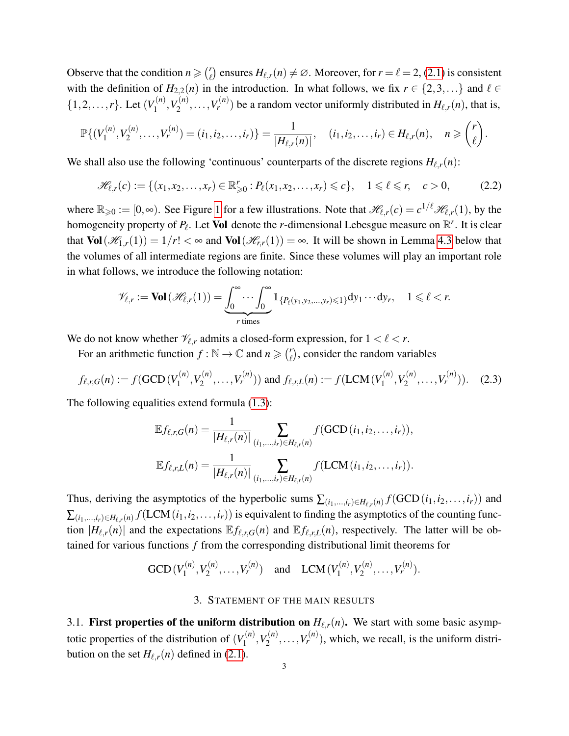Observe that the condition  $n \geqslant {r \choose \ell}$  $e'_{\ell}$  ensures  $H_{\ell,r}(n) \neq \emptyset$ . Moreover, for  $r = \ell = 2$ , [\(2.1\)](#page-1-0) is consistent with the definition of  $H_{2,2}(n)$  in the introduction. In what follows, we fix  $r \in \{2,3,...\}$  and  $\ell \in$  $\{1, 2, \ldots, r\}$ . Let  $(V_1^{(n)}$  $Y_1^{(n)}, Y_2^{(n)}$  $V_2^{(n)}, \ldots, V_r^{(n)}$  be a random vector uniformly distributed in  $H_{\ell,r}(n)$ , that is,

$$
\mathbb{P}\{(V_1^{(n)}, V_2^{(n)}, \ldots, V_r^{(n)}) = (i_1, i_2, \ldots, i_r)\} = \frac{1}{|H_{\ell,r}(n)|}, \quad (i_1, i_2, \ldots, i_r) \in H_{\ell,r}(n), \quad n \geq {r \choose \ell}.
$$

We shall also use the following 'continuous' counterparts of the discrete regions  $H_{\ell,r}(n)$ :

<span id="page-2-0"></span>
$$
\mathcal{H}_{\ell,r}(c) := \{ (x_1, x_2, \dots, x_r) \in \mathbb{R}^r_{\geq 0} : P_{\ell}(x_1, x_2, \dots, x_r) \leq c \}, \quad 1 \leq \ell \leq r, \quad c > 0,
$$
 (2.2)

where  $\mathbb{R}_{\geqslant 0} := [0, \infty)$ . See Figure [1](#page-3-0) for a few illustrations. Note that  $\mathcal{H}_{\ell,r}(c) = c^{1/\ell} \mathcal{H}_{\ell,r}(1)$ , by the homogeneity property of  $P_\ell$ . Let **Vol** denote the *r*-dimensional Lebesgue measure on  $\mathbb{R}^r$ . It is clear that  $Vol(\mathcal{H}_{1,r}(1)) = 1/r! < \infty$  and  $Vol(\mathcal{H}_{r,r}(1)) = \infty$ . It will be shown in Lemma [4.3](#page-7-0) below that the volumes of all intermediate regions are finite. Since these volumes will play an important role in what follows, we introduce the following notation:

$$
\mathscr{V}_{\ell,r}:=\text{Vol}\left(\mathscr{H}_{\ell,r}(1)\right)=\underbrace{\int_0^\infty\cdots\int_0^\infty\mathbb{1}}_{r \text{ times}}\left\{P_\ell(y_1,y_2,\ldots,y_r)\leq 1\right\}dy_1\cdots dy_r, \quad 1\leqslant \ell < r.
$$

We do not know whether  $\mathcal{V}_{\ell,r}$  admits a closed-form expression, for  $1 < \ell < r$ .

For an arithmetic function  $f : \mathbb{N} \to \mathbb{C}$  and  $n \geqslant {r \choose r}$  $\binom{r}{\ell}$ , consider the random variables

<span id="page-2-1"></span>
$$
f_{\ell,r,G}(n) := f(\text{GCD}(V_1^{(n)}, V_2^{(n)}, \dots, V_r^{(n)})) \text{ and } f_{\ell,r,L}(n) := f(\text{LCM}(V_1^{(n)}, V_2^{(n)}, \dots, V_r^{(n)})). \tag{2.3}
$$

The following equalities extend formula [\(1.3\)](#page-1-2):

$$
\mathbb{E} f_{\ell,r,G}(n) = \frac{1}{|H_{\ell,r}(n)|} \sum_{(i_1,...,i_r) \in H_{\ell,r}(n)} f(\text{GCD}(i_1, i_2,...,i_r)),
$$
  

$$
\mathbb{E} f_{\ell,r,L}(n) = \frac{1}{|H_{\ell,r}(n)|} \sum_{(i_1,...,i_r) \in H_{\ell,r}(n)} f(\text{LCM}(i_1, i_2,...,i_r)).
$$

Thus, deriving the asymptotics of the hyperbolic sums  $\sum_{(i_1,...,i_r) \in H_{\ell,r}(n)} f(\text{GCD}(i_1,i_2,...,i_r))$  and  $\sum_{(i_1,...,i_r)\in H_{\ell,r}(n)}f(\mathrm{LCM}\,(i_1,i_2,\ldots,i_r))$  is equivalent to finding the asymptotics of the counting function  $|H_{\ell,r}(n)|$  and the expectations  $\mathbb{E} f_{\ell,r,G}(n)$  and  $\mathbb{E} f_{\ell,r,L}(n)$ , respectively. The latter will be obtained for various functions *f* from the corresponding distributional limit theorems for

GCD 
$$
(V_1^{(n)}, V_2^{(n)}, \dots, V_r^{(n)})
$$
 and LCM  $(V_1^{(n)}, V_2^{(n)}, \dots, V_r^{(n)})$ .

### 3. STATEMENT OF THE MAIN RESULTS

3.1. First properties of the uniform distribution on  $H_{\ell,r}(n)$ . We start with some basic asymptotic properties of the distribution of  $(V_1^{(n)}$  $V_1^{(n)}, V_2^{(n)}$  $V_2^{(n)}, \ldots, V_r^{(n)}$ , which, we recall, is the uniform distribution on the set  $H_{\ell,r}(n)$  defined in [\(2.1\)](#page-1-0).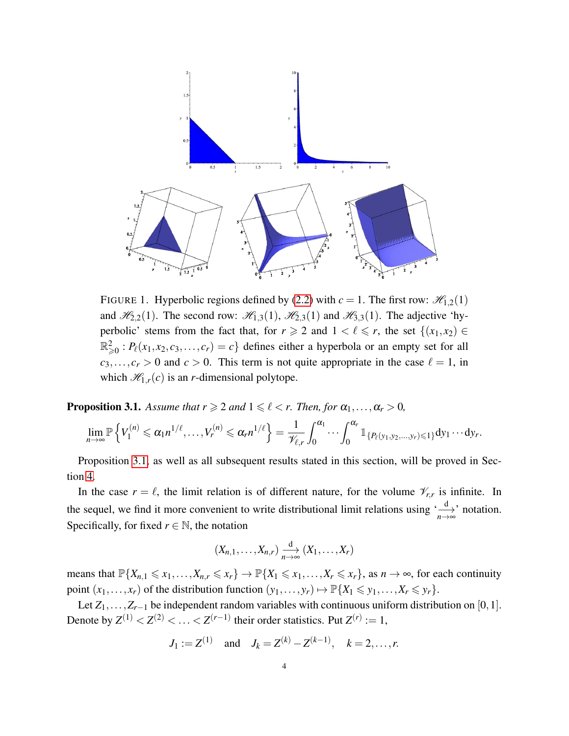

<span id="page-3-0"></span>FIGURE 1. Hyperbolic regions defined by [\(2.2\)](#page-2-0) with  $c = 1$ . The first row:  $\mathcal{H}_{1,2}(1)$ and  $\mathcal{H}_{2,2}(1)$ . The second row:  $\mathcal{H}_{1,3}(1)$ ,  $\mathcal{H}_{2,3}(1)$  and  $\mathcal{H}_{3,3}(1)$ . The adjective 'hyperbolic' stems from the fact that, for  $r \geq 2$  and  $1 < \ell \leq r$ , the set  $\{(x_1, x_2) \in$  $\mathbb{R}^2_{\geqslant 0}$ :  $P_\ell(x_1, x_2, c_3, \ldots, c_r) = c$  defines either a hyperbola or an empty set for all  $c_3, \ldots, c_r > 0$  and  $c > 0$ . This term is not quite appropriate in the case  $\ell = 1$ , in which  $\mathcal{H}_{1,r}(c)$  is an *r*-dimensional polytope.

<span id="page-3-1"></span>**Proposition 3.1.** *Assume that*  $r \ge 2$  *and*  $1 \le \ell < r$ *. Then, for*  $\alpha_1, \ldots, \alpha_r > 0$ *,* 

$$
\lim_{n\to\infty}\mathbb{P}\left\{V_1^{(n)}\leqslant \alpha_1n^{1/\ell},\ldots,V_r^{(n)}\leqslant \alpha_r n^{1/\ell}\right\}=\frac{1}{\mathscr{V}_{\ell,r}}\int_0^{\alpha_1}\cdots\int_0^{\alpha_r}\mathbb{1}_{\{P_\ell(y_1,y_2,\ldots,y_r)\leqslant 1\}}\mathrm{d}y_1\cdots\mathrm{d}y_r.
$$

Proposition [3.1,](#page-3-1) as well as all subsequent results stated in this section, will be proved in Section [4.](#page-6-0)

In the case  $r = \ell$ , the limit relation is of different nature, for the volume  $\mathcal{V}_{r,r}$  is infinite. In the sequel, we find it more convenient to write distributional limit relations using  $\left(\frac{d}{n\to\infty}\right)$  notation. Specifically, for fixed  $r \in \mathbb{N}$ , the notation

$$
(X_{n,1},\ldots,X_{n,r})\xrightarrow[n\to\infty]{d} (X_1,\ldots,X_r)
$$

means that  $\mathbb{P}\{X_{n,1} \leq x_1,\ldots,X_{n,r} \leq x_r\} \to \mathbb{P}\{X_1 \leq x_1,\ldots,X_r \leq x_r\}$ , as  $n \to \infty$ , for each continuity point  $(x_1, \ldots, x_r)$  of the distribution function  $(y_1, \ldots, y_r) \mapsto \mathbb{P}\{X_1 \leq y_1, \ldots, X_r \leq y_r\}.$ 

Let  $Z_1, \ldots, Z_{r-1}$  be independent random variables with continuous uniform distribution on [0,1]. Denote by  $Z^{(1)} < Z^{(2)} < \ldots < Z^{(r-1)}$  their order statistics. Put  $Z^{(r)} := 1$ ,

$$
J_1 := Z^{(1)}
$$
 and  $J_k = Z^{(k)} - Z^{(k-1)}$ ,  $k = 2,...,r$ .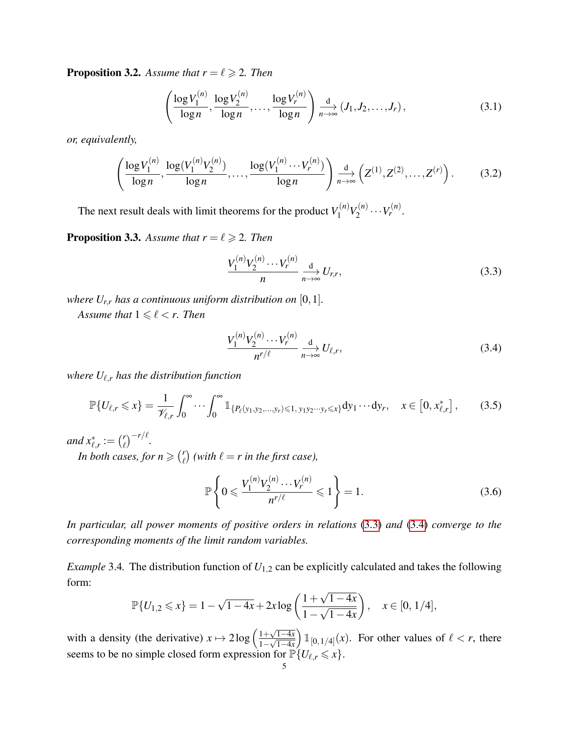<span id="page-4-3"></span>**Proposition 3.2.** Assume that  $r = \ell \geq 2$ . Then

$$
\left(\frac{\log V_1^{(n)}}{\log n}, \frac{\log V_2^{(n)}}{\log n}, \dots, \frac{\log V_r^{(n)}}{\log n}\right) \underset{n \to \infty}{\longrightarrow} (J_1, J_2, \dots, J_r),\tag{3.1}
$$

*or, equivalently,*

<span id="page-4-6"></span>
$$
\left(\frac{\log V_1^{(n)}}{\log n}, \frac{\log (V_1^{(n)} V_2^{(n)})}{\log n}, \dots, \frac{\log (V_1^{(n)} \cdots V_r^{(n)})}{\log n}\right) \underset{n \to \infty}{\xrightarrow{d}} \left(Z^{(1)}, Z^{(2)}, \dots, Z^{(r)}\right). \tag{3.2}
$$

The next result deals with limit theorems for the product  $V_1^{(n)}$  $V_1^{(n)}V_2^{(n)}$  $v_2^{(n)} \cdots V_r^{(n)}$ .

<span id="page-4-4"></span>**Proposition 3.3.** Assume that  $r = \ell \geq 2$ . Then

<span id="page-4-0"></span>
$$
\frac{V_1^{(n)}V_2^{(n)}\cdots V_r^{(n)}}{n} \xrightarrow[n \to \infty]{\text{d}} U_{r,r},\tag{3.3}
$$

*where*  $U_{r,r}$  *has a continuous uniform distribution on* [0, 1]*.* 

*Assume that*  $1 \leq \ell \leq r$ *. Then* 

<span id="page-4-1"></span>
$$
\frac{V_1^{(n)}V_2^{(n)}\cdots V_r^{(n)}}{n^{r/\ell}} \xrightarrow[n \to \infty]{\text{d}} U_{\ell,r},\tag{3.4}
$$

*where*  $U_{\ell,r}$  *has the distribution function* 

<span id="page-4-2"></span>
$$
\mathbb{P}\{U_{\ell,r}\leqslant x\}=\frac{1}{\mathscr{V}_{\ell,r}}\int_{0}^{\infty}\cdots\int_{0}^{\infty}\mathbb{1}_{\{P_{\ell}(y_1,y_2,\ldots,y_r)\leqslant 1,\ y_1y_2\cdots y_r\leqslant x\}}\mathrm{d}y_1\cdots\mathrm{d}y_r,\quad x\in\left[0,x_{\ell,r}^*\right],\tag{3.5}
$$

*and*  $x_{\ell,r}^* := \binom{r}{\ell}$  $\binom{r}{\ell}$ <sup>-r/ $\ell$ </sup>.

*In both cases, for n*  $\geq$   $\binom{r}{\ell}$  $\binom{r}{\ell}$  (with  $\ell = r$  in the first case),

<span id="page-4-5"></span>
$$
\mathbb{P}\left\{0 \leqslant \frac{V_1^{(n)} V_2^{(n)} \cdots V_r^{(n)}}{n^{r/\ell}} \leqslant 1\right\} = 1.
$$
\n(3.6)

*In particular, all power moments of positive orders in relations* [\(3.3\)](#page-4-0) *and* [\(3.4\)](#page-4-1) *converge to the corresponding moments of the limit random variables.*

*Example* 3.4. The distribution function of  $U_{1,2}$  can be explicitly calculated and takes the following form: √

$$
\mathbb{P}\{U_{1,2}\leqslant x\}=1-\sqrt{1-4x}+2x\log\left(\frac{1+\sqrt{1-4x}}{1-\sqrt{1-4x}}\right),\quad x\in[0,1/4],
$$

with a density (the derivative)  $x \mapsto 2\log\left(\frac{1+\sqrt{1-4x}}{1-4x}\right)$  $\frac{1+\sqrt{1-4x}}{1-\sqrt{1-4x}}$  $\int \mathbb{1}_{[0,1/4]}(x)$ . For other values of  $\ell < r$ , there seems to be no simple closed form expression for  $\mathbb{P}\lbrace U_{\ell,r} \leq x \rbrace$ .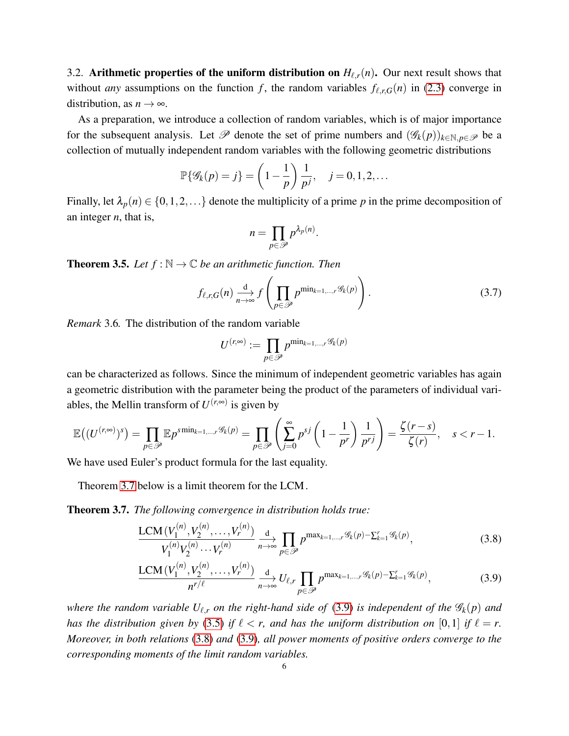3.2. Arithmetic properties of the uniform distribution on  $H_{\ell,r}(n)$ . Our next result shows that without *any* assumptions on the function *f*, the random variables  $f_{\ell,r,G}(n)$  in [\(2.3\)](#page-2-1) converge in distribution, as  $n \to \infty$ .

As a preparation, we introduce a collection of random variables, which is of major importance for the subsequent analysis. Let  $\mathscr P$  denote the set of prime numbers and  $(\mathscr G_k(p))_{k\in\mathbb N, p\in\mathscr P}$  be a collection of mutually independent random variables with the following geometric distributions

$$
\mathbb{P}\{\mathscr{G}_k(p) = j\} = \left(1 - \frac{1}{p}\right)\frac{1}{p^j}, \quad j = 0, 1, 2, \dots
$$

Finally, let  $\lambda_p(n) \in \{0,1,2,...\}$  denote the multiplicity of a prime *p* in the prime decomposition of an integer *n*, that is,

$$
n=\prod_{p\in\mathscr{P}}p^{\lambda_p(n)}.
$$

<span id="page-5-3"></span>**Theorem 3.5.** *Let*  $f : \mathbb{N} \to \mathbb{C}$  *be an arithmetic function. Then* 

<span id="page-5-4"></span>
$$
f_{\ell,r,G}(n) \xrightarrow[n \to \infty]{\text{d}} f\left(\prod_{p \in \mathscr{P}} p^{\min_{k=1,\dots,r} \mathscr{G}_k(p)}\right).
$$
 (3.7)

*Remark* 3.6*.* The distribution of the random variable

<span id="page-5-2"></span>
$$
U^{(r,\infty)}:=\prod_{p\in\mathscr{P}}p^{\min_{k=1,\ldots,r}\mathscr{G}_k(p)}
$$

can be characterized as follows. Since the minimum of independent geometric variables has again a geometric distribution with the parameter being the product of the parameters of individual variables, the Mellin transform of  $U^{(r,\infty)}$  is given by

$$
\mathbb{E}\big((U^{(r,\infty)})^s\big) = \prod_{p \in \mathscr{P}} \mathbb{E} p^{s \min_{k=1,\dots,r} \mathscr{G}_k(p)} = \prod_{p \in \mathscr{P}} \left(\sum_{j=0}^\infty p^{sj} \left(1 - \frac{1}{p^r}\right) \frac{1}{p^{rj}}\right) = \frac{\zeta(r-s)}{\zeta(r)}, \quad s < r-1.
$$

We have used Euler's product formula for the last equality.

Theorem [3.7](#page-5-0) below is a limit theorem for the LCM.

<span id="page-5-0"></span>Theorem 3.7. *The following convergence in distribution holds true:*

$$
\frac{\text{LCM}(V_1^{(n)}, V_2^{(n)}, \dots, V_r^{(n)})}{V_1^{(n)} V_2^{(n)} \cdots V_r^{(n)}} \underset{n \to \infty}{\to} \prod_{p \in \mathscr{P}} p^{\max_{k=1,\dots,r} \mathscr{G}_k(p) - \sum_{k=1}^r \mathscr{G}_k(p)},
$$
(3.8)

<span id="page-5-1"></span>
$$
\frac{\text{LCM}(V_1^{(n)}, V_2^{(n)}, \dots, V_r^{(n)})}{n^{r/\ell}} \underset{n \to \infty}{\xrightarrow{d}} U_{\ell,r} \prod_{p \in \mathcal{P}} p^{\max_{k=1,\dots,r} \mathcal{G}_k(p) - \sum_{k=1}^r \mathcal{G}_k(p)},\tag{3.9}
$$

*where the random variable*  $U_{\ell,r}$  *on the right-hand side of* [\(3.9\)](#page-5-1) *is independent of the*  $\mathscr{G}_k(p)$  *and has the distribution given by* [\(3.5\)](#page-4-2) *if*  $\ell < r$ , and has the uniform distribution on [0,1] *if*  $\ell = r$ . *Moreover, in both relations* [\(3.8\)](#page-5-2) *and* [\(3.9\)](#page-5-1)*, all power moments of positive orders converge to the corresponding moments of the limit random variables.*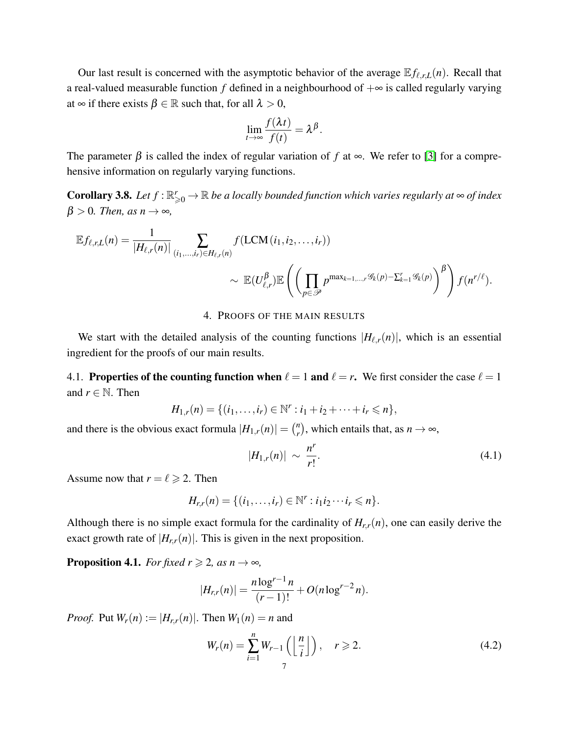Our last result is concerned with the asymptotic behavior of the average  $E f_{\ell,r,L}(n)$ . Recall that a real-valued measurable function  $f$  defined in a neighbourhood of  $+\infty$  is called regularly varying at  $\infty$  if there exists  $\beta \in \mathbb{R}$  such that, for all  $\lambda > 0$ ,

$$
\lim_{t\to\infty}\frac{f(\lambda t)}{f(t)}=\lambda^{\beta}.
$$

The parameter  $\beta$  is called the index of regular variation of *f* at  $\infty$ . We refer to [\[3\]](#page-17-2) for a comprehensive information on regularly varying functions.

<span id="page-6-3"></span>**Corollary 3.8.** Let  $f : \mathbb{R}_{\geqslant 0}^r \to \mathbb{R}$  be a locally bounded function which varies regularly at  $\infty$  of index  $\beta > 0$ *. Then, as n*  $\rightarrow \infty$ *,* 

$$
\mathbb{E} f_{\ell,r,L}(n) = \frac{1}{|H_{\ell,r}(n)|} \sum_{(i_1,\ldots,i_r)\in H_{\ell,r}(n)} f(\text{LCM}(i_1,i_2,\ldots,i_r))
$$
  
\$\sim \mathbb{E}(U\_{\ell,r}^{\beta})\mathbb{E}\left(\left(\prod\_{p\in\mathscr{P}} p^{\max\_{k=1,\ldots,r}\mathscr{G}\_k(p)-\sum\_{k=1}^r\mathscr{G}\_k(p)}\right)^{\beta}\right) f(n^{r/\ell})\$.

#### 4. PROOFS OF THE MAIN RESULTS

<span id="page-6-0"></span>We start with the detailed analysis of the counting functions  $|H_{\ell,r}(n)|$ , which is an essential ingredient for the proofs of our main results.

4.1. Properties of the counting function when  $\ell = 1$  and  $\ell = r$ . We first consider the case  $\ell = 1$ and  $r \in \mathbb{N}$ . Then

 $H_{1,r}(n) = \{(i_1, \ldots, i_r) \in \mathbb{N}^r : i_1 + i_2 + \cdots + i_r \leq n\},\$ 

and there is the obvious exact formula  $|H_{1,r}(n)| = \binom{n}{r}$  $\binom{n}{r}$ , which entails that, as  $n \to \infty$ ,

<span id="page-6-2"></span>
$$
|H_{1,r}(n)| \sim \frac{n^r}{r!}.
$$
 (4.1)

Assume now that  $r = \ell \ge 2$ . Then

$$
H_{r,r}(n) = \{(i_1,\ldots,i_r) \in \mathbb{N}^r : i_1 i_2 \cdots i_r \leqslant n\}.
$$

Although there is no simple exact formula for the cardinality of  $H_{rr}(n)$ , one can easily derive the exact growth rate of  $|H_{r,r}(n)|$ . This is given in the next proposition.

<span id="page-6-1"></span>**Proposition 4.1.** *For fixed r*  $\geq 2$ *, as n*  $\rightarrow \infty$ *,* 

$$
|H_{r,r}(n)| = \frac{n \log^{r-1} n}{(r-1)!} + O(n \log^{r-2} n).
$$

*Proof.* Put  $W_r(n) := |H_{r,r}(n)|$ . Then  $W_1(n) = n$  and

$$
W_r(n) = \sum_{i=1}^n W_{r-1}\left(\left\lfloor \frac{n}{i} \right\rfloor\right), \quad r \geqslant 2. \tag{4.2}
$$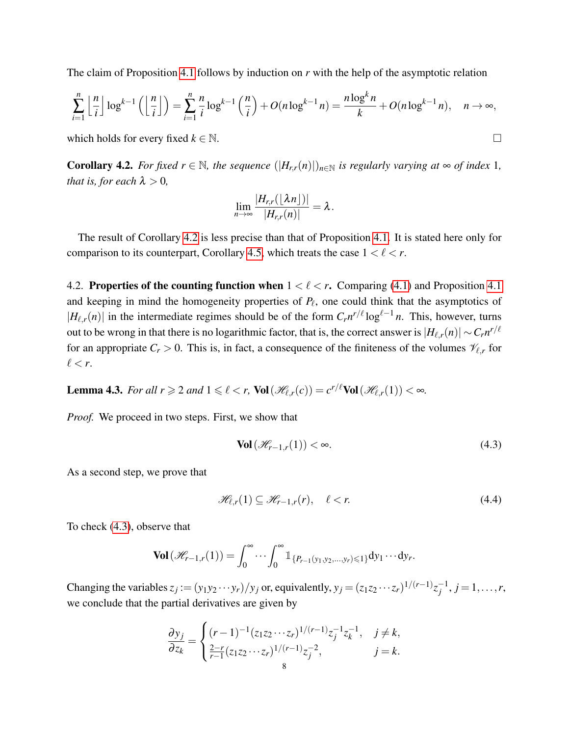The claim of Proposition [4.1](#page-6-1) follows by induction on *r* with the help of the asymptotic relation

$$
\sum_{i=1}^{n} \left\lfloor \frac{n}{i} \right\rfloor \log^{k-1} \left( \left\lfloor \frac{n}{i} \right\rfloor \right) = \sum_{i=1}^{n} \frac{n}{i} \log^{k-1} \left( \frac{n}{i} \right) + O(n \log^{k-1} n) = \frac{n \log^k n}{k} + O(n \log^{k-1} n), \quad n \to \infty,
$$

which holds for every fixed  $k \in \mathbb{N}$ .

<span id="page-7-1"></span>**Corollary 4.2.** *For fixed r*  $\in$  N, *the sequence*  $(|H_{r,r}(n)|)_{n\in\mathbb{N}}$  *is regularly varying at*  $\infty$  *of index* 1*, that is, for each*  $\lambda > 0$ *,* 

$$
\lim_{n\to\infty}\frac{|H_{r,r}(\lfloor\lambda n\rfloor)|}{|H_{r,r}(n)|}=\lambda.
$$

The result of Corollary [4.2](#page-7-1) is less precise than that of Proposition [4.1.](#page-6-1) It is stated here only for comparison to its counterpart, Corollary [4.5,](#page-8-0) which treats the case  $1 < \ell < r$ .

4.2. Properties of the counting function when  $1 < \ell < r$ . Comparing [\(4.1\)](#page-6-2) and Proposition [4.1](#page-6-1) and keeping in mind the homogeneity properties of  $P_\ell$ , one could think that the asymptotics of  $|H_{\ell,r}(n)|$  in the intermediate regimes should be of the form  $C_r n^{r/\ell} \log^{\ell-1} n$ . This, however, turns out to be wrong in that there is no logarithmic factor, that is, the correct answer is  $|H_{\ell,r}(n)| \sim C_r n^{r/\ell}$ for an appropriate  $C_r > 0$ . This is, in fact, a consequence of the finiteness of the volumes  $\mathcal{V}_{\ell,r}$  for  $\ell < r$ .

<span id="page-7-0"></span>**Lemma 4.3.** For all  $r \ge 2$  and  $1 \le \ell < r$ ,  $\text{Vol}(\mathcal{H}_{\ell,r}(c)) = c^{r/\ell} \text{Vol}(\mathcal{H}_{\ell,r}(1)) < \infty$ .

*Proof.* We proceed in two steps. First, we show that

<span id="page-7-2"></span>
$$
\text{Vol}\left(\mathcal{H}_{r-1,r}(1)\right) < \infty. \tag{4.3}
$$

As a second step, we prove that

<span id="page-7-3"></span>
$$
\mathcal{H}_{\ell,r}(1) \subseteq \mathcal{H}_{r-1,r}(r), \quad \ell < r. \tag{4.4}
$$

To check [\(4.3\)](#page-7-2), observe that

$$
\text{Vol}\left(\mathscr{H}_{r-1,r}(1)\right)=\int_0^\infty\cdots\int_0^\infty\mathbb{1}_{\{P_{r-1}(y_1,y_2,\ldots,y_r)\leq 1\}}dy_1\cdots dy_r.
$$

Changing the variables  $z_j := (y_1y_2 \cdots y_r)/y_j$  or, equivalently,  $y_j = (z_1z_2 \cdots z_r)^{1/(r-1)}z_j^{-1}$  $j^{-1}, j = 1, \ldots, r$ , we conclude that the partial derivatives are given by

$$
\frac{\partial y_j}{\partial z_k} = \begin{cases}\n(r-1)^{-1} (z_1 z_2 \cdots z_r)^{1/(r-1)} z_j^{-1} z_k^{-1}, & j \neq k, \\
\frac{2-r}{r-1} (z_1 z_2 \cdots z_r)^{1/(r-1)} z_j^{-2}, & j = k.\n\end{cases}
$$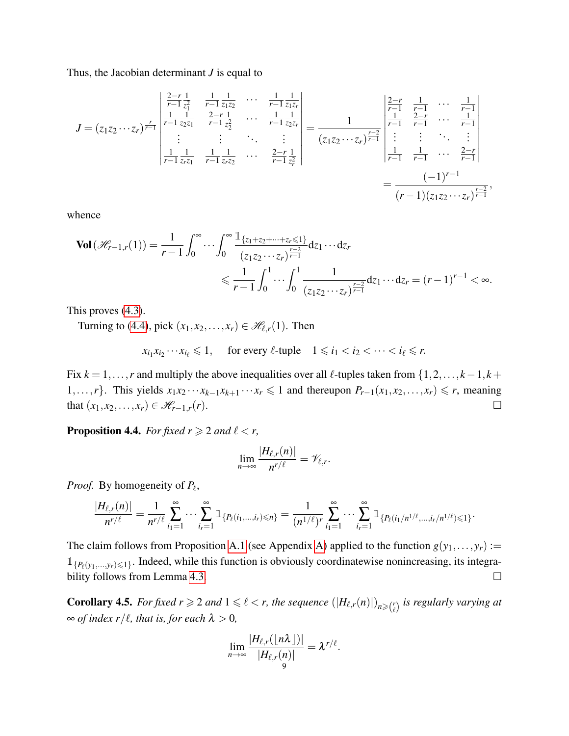Thus, the Jacobian determinant *J* is equal to

$$
J = (z_1 z_2 \cdots z_r)^{\frac{r}{r-1}} \begin{vmatrix} \frac{2-r}{r-1} \frac{1}{z_1^2} & \frac{1}{r-1} \frac{1}{z_1 z_2} & \cdots & \frac{1}{r-1} \frac{1}{z_1 z_r} \\ \frac{1}{r-1} \frac{1}{z_2 z_1} & \frac{2-r}{r-1} \frac{1}{z_2^2} & \cdots & \frac{1}{r-1} \frac{1}{z_2 z_r} \\ \vdots & \vdots & \ddots & \vdots \\ \frac{1}{r-1} \frac{1}{z_r z_1} & \frac{1}{r-1} \frac{1}{z_r z_2} & \cdots & \frac{2-r}{r-1} \frac{1}{z_r^2} \end{vmatrix} = \frac{1}{(z_1 z_2 \cdots z_r)^{\frac{r-2}{r-1}}} \begin{vmatrix} \frac{2-r}{r-1} & \frac{1}{r-1} & \cdots & \frac{1}{r-1} \\ \frac{1}{r-1} & \frac{2-r}{r-1} & \cdots & \frac{1}{r-1} \\ \vdots & \vdots & \ddots & \vdots \\ \frac{1}{r-1} & \frac{1}{r-1} & \cdots & \frac{2-r}{r-1} \end{vmatrix}
$$

$$
= \frac{(-1)^{r-1}}{(r-1)(z_1 z_2 \cdots z_r)^{\frac{r-2}{r-1}}},
$$

whence

$$
\mathbf{Vol}\left(\mathcal{H}_{r-1,r}(1)\right) = \frac{1}{r-1} \int_0^\infty \cdots \int_0^\infty \frac{\mathbb{1}_{\{z_1+z_2+\cdots+z_r \leq 1\}}}{(z_1z_2\cdots z_r)^{\frac{r-2}{r-1}}} dz_1 \cdots dz_r
$$
  
\$\leq \frac{1}{r-1} \int\_0^1 \cdots \int\_0^1 \frac{1}{(z\_1z\_2\cdots z\_r)^{\frac{r-2}{r-1}}} dz\_1 \cdots dz\_r = (r-1)^{r-1} < \infty\$.

This proves [\(4.3\)](#page-7-2).

Turning to [\(4.4\)](#page-7-3), pick  $(x_1, x_2,...,x_r) \in \mathcal{H}_{\ell,r}(1)$ . Then

 $x_{i_1} x_{i_2} \cdots x_{i_\ell} \leq 1$ , for every  $\ell$ -tuple  $1 \leq i_1 < i_2 < \cdots < i_\ell \leq r$ .

Fix  $k = 1, \ldots, r$  and multiply the above inequalities over all  $\ell$ -tuples taken from  $\{1, 2, \ldots, k-1, k+1\}$ 1,...,*r*}. This yields  $x_1x_2 \cdots x_{k-1}x_{k+1} \cdots x_r \le 1$  and thereupon  $P_{r-1}(x_1, x_2, \ldots, x_r) \le r$ , meaning that  $(x_1, x_2,..., x_r)$  ∈  $\mathcal{H}_{r-1,r}(r)$ .  $□$ 

<span id="page-8-1"></span>**Proposition 4.4.** *For fixed*  $r \geq 2$  *and*  $\ell < r$ *,* 

$$
\lim_{n\to\infty}\frac{|H_{\ell,r}(n)|}{n^{r/\ell}}=\mathscr V_{\ell,r}.
$$

*Proof.* By homogeneity of  $P_\ell$ ,

$$
\frac{|H_{\ell,r}(n)|}{n^{r/\ell}} = \frac{1}{n^{r/\ell}} \sum_{i_1=1}^{\infty} \cdots \sum_{i_r=1}^{\infty} \mathbbm{1}_{\{P_{\ell}(i_1,...,i_r)\leq n\}} = \frac{1}{(n^{1/\ell})^r} \sum_{i_1=1}^{\infty} \cdots \sum_{i_r=1}^{\infty} \mathbbm{1}_{\{P_{\ell}(i_1/n^{1/\ell},...,i_r/n^{1/\ell})\leq 1\}}.
$$

The claim follows from Proposition [A.1](#page-15-0) (see Appendix [A\)](#page-15-1) applied to the function  $g(y_1,..., y_r)$ :=  $\mathbb{1}_{\{P_{\ell}(y_1,...,y_r)\leq 1\}}$ . Indeed, while this function is obviously coordinatewise nonincreasing, its integra-bility follows from Lemma [4.3.](#page-7-0)

<span id="page-8-0"></span>**Corollary 4.5.** *For fixed*  $r \ge 2$  *and*  $1 \le \ell < r$ , the sequence  $(|H_{\ell,r}(n)|)_{n \ge {r \choose \ell}}$  is regularly varying at  $\infty$  *of index r*/ $\ell$ *, that is, for each*  $\lambda > 0$ *,* 

$$
\lim_{n\to\infty}\frac{|H_{\ell,r}(\lfloor n\lambda\rfloor)|}{|H_{\ell,r}(n)|}=\lambda^{r/\ell}.
$$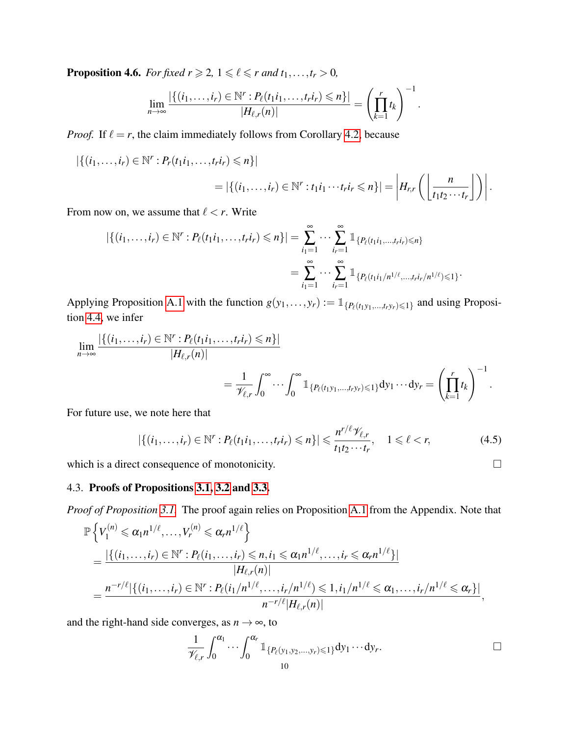**Proposition 4.6.** *For fixed*  $r \geq 2$ *,*  $1 \leq \ell \leq r$  *and*  $t_1, \ldots, t_r > 0$ *,* 

$$
\lim_{n\to\infty}\frac{|\{(i_1,\ldots,i_r)\in\mathbb{N}^r:P_{\ell}(t_1i_1,\ldots,t_ri_r)\leq n\}|}{|H_{\ell,r}(n)|}=\left(\prod_{k=1}^rt_k\right)^{-1}.
$$

*Proof.* If  $\ell = r$ , the claim immediately follows from Corollary [4.2,](#page-7-1) because

$$
|\{(i_1,\ldots,i_r)\in\mathbb{N}^r:P_r(t_1i_1,\ldots,t_ri_r)\leq n\}|
$$
  
=  $|\{(i_1,\ldots,i_r)\in\mathbb{N}^r:t_1i_1\cdots t_ri_r\leq n\}|$  =  $|H_{r,r}\left(\left\lfloor\frac{n}{t_1t_2\cdots t_r}\right\rfloor\right)|$ .

From now on, we assume that  $\ell < r$ . Write

$$
|\{(i_1,\ldots,i_r)\in\mathbb{N}^r:P_{\ell}(t_1i_1,\ldots,t_ri_r)\leqslant n\}|=\sum_{i_1=1}^{\infty}\cdots\sum_{i_r=1}^{\infty}\mathbb{1}_{\{P_{\ell}(t_1i_1,\ldots,t_ri_r)\leqslant n\}}\n= \sum_{i_1=1}^{\infty}\cdots\sum_{i_r=1}^{\infty}\mathbb{1}_{\{P_{\ell}(t_1i_1/n^{1/\ell},\ldots,t_ri_r/n^{1/\ell})\leqslant 1\}}.
$$

Applying Proposition [A.1](#page-15-0) with the function  $g(y_1,..., y_r) := \mathbb{1}_{\{P_\ell(t_1y_1,...,t_ry_r)\leq 1\}}$  and using Proposition [4.4,](#page-8-1) we infer

$$
\lim_{n\to\infty}\frac{|\{(i_1,\ldots,i_r)\in\mathbb{N}^r:P_{\ell}(t_1i_1,\ldots,t_1i_r)\leq n\}|}{|H_{\ell,r}(n)|}=\frac{1}{\mathscr{V}_{\ell,r}}\int_0^\infty\cdots\int_0^\infty\mathbb{1}_{\{P_{\ell}(t_1y_1,\ldots,t_1y_r)\leq 1\}}dy_1\cdots dy_r=\left(\prod_{k=1}^rt_k\right)^{-1}.
$$

For future use, we note here that

<span id="page-9-0"></span>
$$
|\{(i_1,\ldots,i_r)\in\mathbb{N}^r:P_{\ell}(t_1i_1,\ldots,t_ri_r)\leqslant n\}|\leqslant\frac{n^{r/\ell}\mathscr{V}_{\ell,r}}{t_1t_2\cdots t_r},\quad 1\leqslant\ell\n(4.5)
$$

which is a direct consequence of monotonicity.

# 4.3. Proofs of Propositions [3.1,](#page-3-1) [3.2](#page-4-3) and [3.3.](#page-4-4)

*Proof of Proposition [3.1.](#page-3-1)* The proof again relies on Proposition [A.1](#page-15-0) from the Appendix. Note that

$$
\mathbb{P}\left\{V_{1}^{(n)} \leq \alpha_{1}n^{1/\ell}, \ldots, V_{r}^{(n)} \leq \alpha_{r}n^{1/\ell}\right\}
$$
\n
$$
= \frac{|\{(i_{1}, \ldots, i_{r}) \in \mathbb{N}^{r} : P_{\ell}(i_{1}, \ldots, i_{r}) \leq n, i_{1} \leq \alpha_{1}n^{1/\ell}, \ldots, i_{r} \leq \alpha_{r}n^{1/\ell}\}|}{|H_{\ell,r}(n)|}
$$
\n
$$
= \frac{n^{-r/\ell}|\{(i_{1}, \ldots, i_{r}) \in \mathbb{N}^{r} : P_{\ell}(i_{1}/n^{1/\ell}, \ldots, i_{r}/n^{1/\ell}) \leq 1, i_{1}/n^{1/\ell} \leq \alpha_{1}, \ldots, i_{r}/n^{1/\ell} \leq \alpha_{r}\}|}{n^{-r/\ell}|H_{\ell,r}(n)|},
$$

and the right-hand side converges, as  $n \rightarrow \infty$ , to

$$
\frac{1}{\mathscr{V}_{\ell,r}}\int_0^{\alpha_1}\cdots\int_0^{\alpha_r}\mathbb{1}_{\{P_{\ell}(y_1,y_2,\ldots,y_r)\leq 1\}}\mathrm{d}y_1\cdots\mathrm{d}y_r.
$$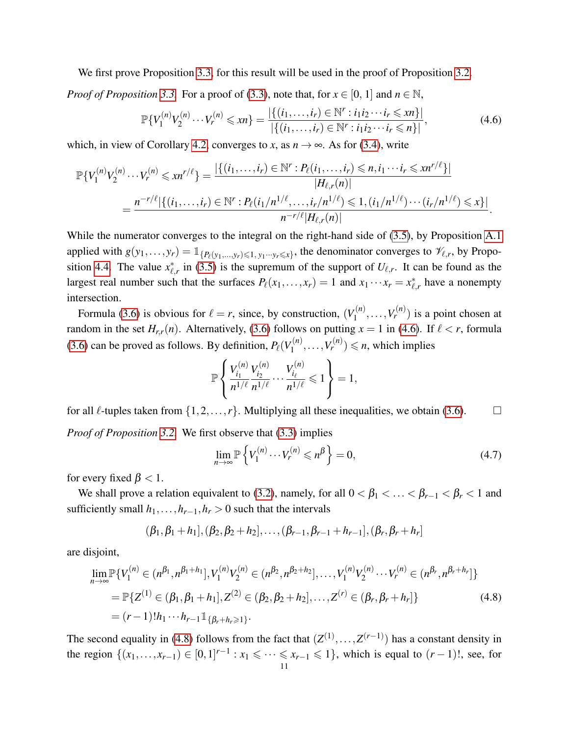We first prove Proposition [3.3,](#page-4-4) for this result will be used in the proof of Proposition [3.2.](#page-4-3)

*Proof of Proposition* [3.3.](#page-4-4) For a proof of [\(3.3\)](#page-4-0), note that, for  $x \in [0, 1]$  and  $n \in \mathbb{N}$ ,

<span id="page-10-0"></span>
$$
\mathbb{P}\{V_1^{(n)}V_2^{(n)}\cdots V_r^{(n)}\leq xn\} = \frac{|\{(i_1,\ldots,i_r)\in\mathbb{N}^r : i_1i_2\cdots i_r\leq xn\}|}{|\{(i_1,\ldots,i_r)\in\mathbb{N}^r : i_1i_2\cdots i_r\leq n\}|},\tag{4.6}
$$

which, in view of Corollary [4.2,](#page-7-1) converges to *x*, as  $n \to \infty$ . As for [\(3.4\)](#page-4-1), write

$$
\mathbb{P}\{V_1^{(n)}V_2^{(n)}\cdots V_r^{(n)}\leqslant xn^{r/\ell}\}=\frac{|\{(i_1,\ldots,i_r)\in\mathbb{N}^r:P_{\ell}(i_1,\ldots,i_r)\leqslant n,i_1\cdots i_r\leqslant xn^{r/\ell}\}|}{|H_{\ell,r}(n)|}
$$

$$
=\frac{n^{-r/\ell}|\{(i_1,\ldots,i_r)\in\mathbb{N}^r:P_{\ell}(i_1/n^{1/\ell},\ldots,i_r/n^{1/\ell})\leqslant 1,(i_1/n^{1/\ell})\cdots(i_r/n^{1/\ell})\leqslant x\}|}{n^{-r/\ell}|H_{\ell,r}(n)|}.
$$

While the numerator converges to the integral on the right-hand side of [\(3.5\)](#page-4-2), by Proposition [A.1](#page-15-0) applied with  $g(y_1,..., y_r) = \mathbb{1}_{\{P_\ell(y_1,..., y_r) \leq 1, y_1 \cdots y_r \leq x\}}$ , the denominator converges to  $\mathcal{V}_{\ell,r}$ , by Propo-sition [4.4.](#page-8-1) The value  $x^*_{\ell}$  $\ell_{\ell,r}^*$  in [\(3.5\)](#page-4-2) is the supremum of the support of  $U_{\ell,r}$ . It can be found as the largest real number such that the surfaces  $P_\ell(x_1,...,x_r) = 1$  and  $x_1 \cdots x_r = x_\ell^*$  $\chi^*_{\ell,r}$  have a nonempty intersection.

Formula [\(3.6\)](#page-4-5) is obvious for  $\ell = r$ , since, by construction,  $(V_1^{(n)})$  $V_1^{(n)}, \ldots, V_r^{(n)}$  is a point chosen at random in the set  $H_{r,r}(n)$ . Alternatively, [\(3.6\)](#page-4-5) follows on putting  $x = 1$  in [\(4.6\)](#page-10-0). If  $\ell < r$ , formula [\(3.6\)](#page-4-5) can be proved as follows. By definition,  $P_\ell(V_1^{(n)})$  $\mathcal{U}_1^{(n)}, \ldots, \mathcal{V}_r^{(n)} \leq n$ , which implies

$$
\mathbb{P}\left\{\frac{V_{i_1}^{(n)}V_{i_2}^{(n)}}{n^{1/\ell}}\dots\frac{V_{i_\ell}^{(n)}}{n^{1/\ell}}\leq 1\right\}=1,
$$

for all  $\ell$ -tuples taken from  $\{1,2,\ldots,r\}$ . Multiplying all these inequalities, we obtain [\(3.6\)](#page-4-5). *Proof of Proposition [3.2.](#page-4-3)* We first observe that [\(3.3\)](#page-4-0) implies

<span id="page-10-2"></span><span id="page-10-1"></span>
$$
\lim_{n \to \infty} \mathbb{P}\left\{V_1^{(n)} \cdots V_r^{(n)} \leqslant n^{\beta}\right\} = 0,\tag{4.7}
$$

for every fixed  $\beta$  < 1.

We shall prove a relation equivalent to [\(3.2\)](#page-4-6), namely, for all  $0 < \beta_1 < \ldots < \beta_{r-1} < \beta_r < 1$  and sufficiently small  $h_1$ ,..., $h_{r-1}$ , $h_r > 0$  such that the intervals

$$
(\beta_1, \beta_1 + h_1], (\beta_2, \beta_2 + h_2],..., (\beta_{r-1}, \beta_{r-1} + h_{r-1}], (\beta_r, \beta_r + h_r]
$$

are disjoint,

$$
\lim_{n \to \infty} \mathbb{P}\{V_1^{(n)} \in (n^{\beta_1}, n^{\beta_1 + h_1}], V_1^{(n)} V_2^{(n)} \in (n^{\beta_2}, n^{\beta_2 + h_2}], \dots, V_1^{(n)} V_2^{(n)} \cdots V_r^{(n)} \in (n^{\beta_r}, n^{\beta_r + h_r}]\}
$$
\n
$$
= \mathbb{P}\{Z^{(1)} \in (\beta_1, \beta_1 + h_1], Z^{(2)} \in (\beta_2, \beta_2 + h_2], \dots, Z^{(r)} \in (\beta_r, \beta_r + h_r]\}
$$
\n
$$
= (r - 1)! h_1 \cdots h_{r-1} \mathbb{1}_{\{\beta_r + h_r \ge 1\}}.
$$
\n(4.8)

The second equality in [\(4.8\)](#page-10-1) follows from the fact that  $(Z^{(1)},...,Z^{(r-1)})$  has a constant density in the region  $\{(x_1,...,x_{r-1}) \in [0,1]^{r-1} : x_1 \leq \cdots \leq x_{r-1} \leq 1\}$ , which is equal to  $(r-1)!$ , see, for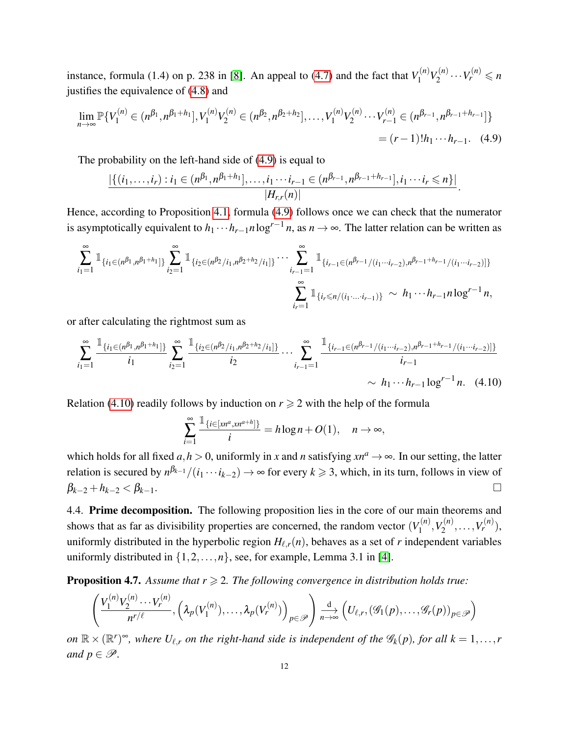instance, formula (1.4) on p. 238 in [\[8\]](#page-17-3). An appeal to [\(4.7\)](#page-10-2) and the fact that  $V_1^{(n)}$  $V_1^{(n)}V_2^{(n)}$  $V_2^{(n)} \cdots V_r^{(n)} \leq n$ justifies the equivalence of [\(4.8\)](#page-10-1) and

$$
\lim_{n \to \infty} \mathbb{P}\{V_1^{(n)} \in (n^{\beta_1}, n^{\beta_1 + h_1}], V_1^{(n)} V_2^{(n)} \in (n^{\beta_2}, n^{\beta_2 + h_2}], \dots, V_1^{(n)} V_2^{(n)} \cdots V_{r-1}^{(n)} \in (n^{\beta_{r-1}}, n^{\beta_{r-1} + h_{r-1}}] \}
$$
\n
$$
= (r-1)! h_1 \cdots h_{r-1}.
$$
\n(4.9)

The probability on the left-hand side of [\(4.9\)](#page-11-0) is equal to

<span id="page-11-0"></span>
$$
\frac{|\{(i_1,\ldots,i_r):i_1\in(n^{\beta_1},n^{\beta_1+h_1}],\ldots,i_1\cdots i_{r-1}\in(n^{\beta_{r-1}},n^{\beta_{r-1}+h_{r-1}}],i_1\cdots i_r\leq n\}|}{|H_{r,r}(n)|}.
$$

Hence, according to Proposition [4.1,](#page-6-1) formula [\(4.9\)](#page-11-0) follows once we can check that the numerator is asymptotically equivalent to  $h_1 \cdots h_{r-1} n \log^{r-1} n$ , as  $n \to \infty$ . The latter relation can be written as

$$
\sum_{i_1=1}^{\infty} \mathbb{1}_{\{i_1 \in (n^{\beta_1}, n^{\beta_1+h_1}]\}} \sum_{i_2=1}^{\infty} \mathbb{1}_{\{i_2 \in (n^{\beta_2}/i_1, n^{\beta_2+h_2}/i_1]\}} \cdots \sum_{i_{r-1}=1}^{\infty} \mathbb{1}_{\{i_{r-1} \in (n^{\beta_{r-1}}/(i_1 \cdots i_{r-2}), n^{\beta_{r-1}+h_{r-1}}/(i_1 \cdots i_{r-2})]\}} \sum_{i_r=1}^{\infty} \mathbb{1}_{\{i_r \leq n/(i_1 \cdots i_{r-1})\}} \sim h_1 \cdots h_{r-1} n \log^{r-1} n,
$$

or after calculating the rightmost sum as

$$
\sum_{i_1=1}^{\infty} \frac{\mathbb{1}_{\{i_1 \in (n^{\beta_1}, n^{\beta_1+h_1}]\}}}{i_1} \sum_{i_2=1}^{\infty} \frac{\mathbb{1}_{\{i_2 \in (n^{\beta_2}/i_1, n^{\beta_2+h_2}/i_1]\}}}{i_2} \cdots \sum_{i_{r-1}=1}^{\infty} \frac{\mathbb{1}_{\{i_{r-1} \in (n^{\beta_{r-1}}/(i_1 \cdots i_{r-2}), n^{\beta_{r-1}+h_{r-1}}/(i_1 \cdots i_{r-2}))\}}}{i_{r-1}} \times h_1 \cdots h_{r-1} \log^{r-1} n. \quad (4.10)
$$

Relation [\(4.10\)](#page-11-1) readily follows by induction on  $r \geq 2$  with the help of the formula

<span id="page-11-1"></span>
$$
\sum_{i=1}^{\infty} \frac{\mathbb{1}_{\{i \in [xn^a, xn^{a+h}]\}}}{i} = h \log n + O(1), \quad n \to \infty,
$$

which holds for all fixed  $a, h > 0$ , uniformly in x and *n* satisfying  $x n^a \rightarrow \infty$ . In our setting, the latter relation is secured by  $n^{\beta_{k-1}}/(i_1 \cdots i_{k-2}) \to \infty$  for every  $k \geq 3$ , which, in its turn, follows in view of  $β_{k-2} + h_{k-2} < β_{k-1}$ . □

4.4. Prime decomposition. The following proposition lies in the core of our main theorems and shows that as far as divisibility properties are concerned, the random vector  $(V_1^{(n)}$  $Y_1^{(n)}, Y_2^{(n)}$  $Y_2^{(n)}, \ldots, V_r^{(n)}$ ), uniformly distributed in the hyperbolic region  $H_{\ell,r}(n)$ , behaves as a set of *r* independent variables uniformly distributed in  $\{1, 2, ..., n\}$ , see, for example, Lemma 3.1 in [\[4\]](#page-17-4).

<span id="page-11-2"></span>**Proposition 4.7.** Assume that  $r \geq 2$ . The following convergence in distribution holds true:

$$
\left(\frac{V_1^{(n)}V_2^{(n)}\cdots V_r^{(n)}}{n^{r/\ell}},\left(\lambda_p(V_1^{(n)}),\ldots,\lambda_p(V_r^{(n)})\right)_{p\in\mathscr{P}}\right)\stackrel{\mathrm{d}}{\underset{n\to\infty}{\to}}\left(U_{\ell,r},\left(\mathscr{G}_1(p),\ldots,\mathscr{G}_r(p)\right)_{p\in\mathscr{P}}\right)
$$

 $\mathcal{O}(m \times (\mathbb{R}^r)^{\infty})$ , where  $U_{\ell,r}$  on the right-hand side is independent of the  $\mathscr{G}_k(p)$ , for all  $k = 1, \ldots, r$ *and*  $p \in \mathcal{P}$ *.*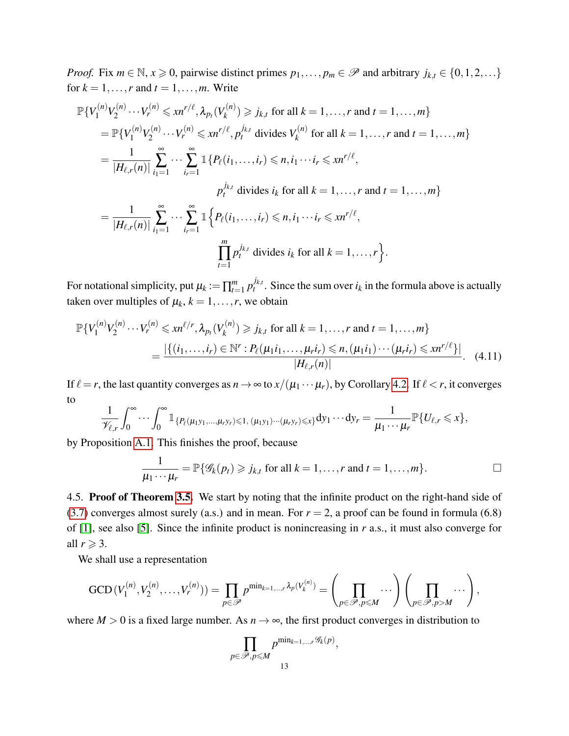*Proof.* Fix  $m \in \mathbb{N}$ ,  $x \ge 0$ , pairwise distinct primes  $p_1, \ldots, p_m \in \mathcal{P}$  and arbitrary  $j_{k,t} \in \{0, 1, 2, \ldots\}$ for  $k = 1, \ldots, r$  and  $t = 1, \ldots, m$ . Write

$$
\mathbb{P}\{V_1^{(n)}V_2^{(n)}\cdots V_r^{(n)}\leqslant xn^{r/\ell},\lambda_{p_t}(V_k^{(n)})\geqslant j_{k,t} \text{ for all } k=1,\ldots,r \text{ and } t=1,\ldots,m\}
$$
\n
$$
=\mathbb{P}\{V_1^{(n)}V_2^{(n)}\cdots V_r^{(n)}\leqslant xn^{r/\ell},p_t^{j_{k,t}} \text{ divides } V_k^{(n)} \text{ for all } k=1,\ldots,r \text{ and } t=1,\ldots,m\}
$$
\n
$$
=\frac{1}{|H_{\ell,r}(n)|}\sum_{i_1=1}^{\infty}\cdots\sum_{i_r=1}^{\infty}\mathbbm{1}\{P_{\ell}(i_1,\ldots,i_r)\leqslant n,i_1\cdots i_r\leqslant xn^{r/\ell},
$$
\n
$$
p_t^{j_{k,t}} \text{ divides } i_k \text{ for all } k=1,\ldots,r \text{ and } t=1,\ldots,m\}
$$
\n
$$
=\frac{1}{|H_{\ell,r}(n)|}\sum_{i_1=1}^{\infty}\cdots\sum_{i_r=1}^{\infty}\mathbbm{1}\{P_{\ell}(i_1,\ldots,i_r)\leqslant n,i_1\cdots i_r\leqslant xn^{r/\ell},
$$
\n
$$
\prod_{t=1}^m p_t^{j_{k,t}} \text{ divides } i_k \text{ for all } k=1,\ldots,r\}.
$$

For notational simplicity, put  $\mu_k := \prod_{t=1}^m p_t^{j_{k,t}}$  $t^{j_{k,t}}$ . Since the sum over  $i_k$  in the formula above is actually taken over multiples of  $\mu_k$ ,  $k = 1, \ldots, r$ , we obtain

$$
\mathbb{P}\{V_1^{(n)}V_2^{(n)}\cdots V_r^{(n)}\leqslant xn^{\ell/r},\lambda_{p_t}(V_k^{(n)})\geqslant j_{k,t} \text{ for all } k=1,\ldots,r \text{ and } t=1,\ldots,m\}
$$

$$
=\frac{|\{(i_1,\ldots,i_r)\in\mathbb{N}^r:P_{\ell}(\mu_1i_1,\ldots,\mu_ri_r)\leqslant n,(\mu_1i_1)\cdots(\mu_ri_r)\leqslant xn^{r/\ell}\}|}{|H_{\ell,r}(n)|}.
$$
(4.11)

If  $\ell = r$ , the last quantity converges as  $n \to \infty$  to  $x/(\mu_1 \cdots \mu_r)$ , by Corollary [4.2.](#page-7-1) If  $\ell < r$ , it converges to

$$
\frac{1}{\mathscr{V}_{\ell,r}}\int_0^\infty\cdots\int_0^\infty\mathbb{1}_{\{P_\ell(\mu_1y_1,\ldots,\mu_ry_r)\leqslant 1,\,(\mu_1y_1)\cdots(\mu_ry_r)\leqslant x\}}\mathrm{d}y_1\cdots\mathrm{d}y_r=\frac{1}{\mu_1\cdots\mu_r}\mathbb{P}\{U_{\ell,r}\leqslant x\},\,
$$

by Proposition [A.1.](#page-15-0) This finishes the proof, because

$$
\frac{1}{\mu_1 \cdots \mu_r} = \mathbb{P}\{\mathscr{G}_k(p_t) \geqslant j_{k,t} \text{ for all } k = 1,\ldots,r \text{ and } t = 1,\ldots,m\}.
$$

<span id="page-12-0"></span>,

4.5. Proof of Theorem [3.5.](#page-5-3) We start by noting that the infinite product on the right-hand side of [\(3.7\)](#page-5-4) converges almost surely (a.s.) and in mean. For  $r = 2$ , a proof can be found in formula (6.8) of [\[1\]](#page-17-5), see also [\[5\]](#page-17-1). Since the infinite product is nonincreasing in *r* a.s., it must also converge for all  $r \geqslant 3$ .

We shall use a representation

$$
\text{GCD}(V_1^{(n)}, V_2^{(n)}, \dots, V_r^{(n)})) = \prod_{p \in \mathscr{P}} p^{\min_{k=1,\dots,r} \lambda_p(V_k^{(n)})} = \left(\prod_{p \in \mathscr{P}, p \leq M} \dots\right) \left(\prod_{p \in \mathscr{P}, p > M} \dots\right),
$$

where  $M > 0$  is a fixed large number. As  $n \to \infty$ , the first product converges in distribution to

$$
\prod_{p \in \mathscr{P}, p \leqslant M} p^{\min_{k=1,\dots,r} \mathscr{G}_k(p)}
$$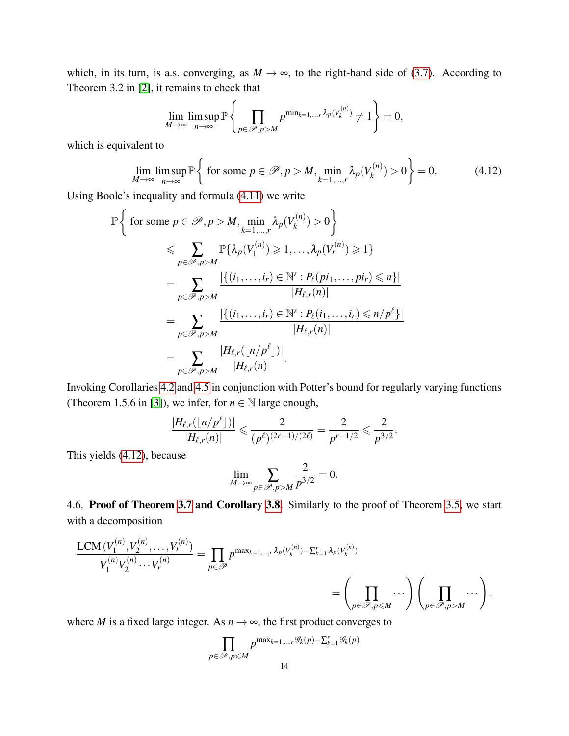which, in its turn, is a.s. converging, as  $M \to \infty$ , to the right-hand side of [\(3.7\)](#page-5-4). According to Theorem 3.2 in [\[2\]](#page-17-6), it remains to check that

$$
\lim_{M\to\infty}\limsup_{n\to\infty}\mathbb{P}\left\{\prod_{p\in\mathscr{P},p>M}p^{\min_{k=1,\dots,r}\lambda_p(V_k^{(n)})}\neq1\right\}=0,
$$

which is equivalent to

<span id="page-13-0"></span>
$$
\lim_{M \to \infty} \limsup_{n \to \infty} \mathbb{P}\left\{ \text{ for some } p \in \mathcal{P}, p > M, \min_{k=1,\dots,r} \lambda_p(V_k^{(n)}) > 0 \right\} = 0. \tag{4.12}
$$

Using Boole's inequality and formula [\(4.11\)](#page-12-0) we write

$$
\mathbb{P}\left\{\text{ for some }p\in\mathcal{P},p>M,\min_{k=1,\dots,r}\lambda_p(V_k^{(n)})>0\right\}
$$
\n
$$
\leqslant \sum_{p\in\mathcal{P},p>M}\mathbb{P}\{\lambda_p(V_1^{(n)})\geqslant 1,\dots,\lambda_p(V_r^{(n)})\geqslant 1\}
$$
\n
$$
=\sum_{p\in\mathcal{P},p>M}\frac{|\{(i_1,\dots,i_r)\in\mathbb{N}^r:P_{\ell}(pi_1,\dots,pi_r)\leqslant n\}|}{|H_{\ell,r}(n)|}
$$
\n
$$
=\sum_{p\in\mathcal{P},p>M}\frac{|\{(i_1,\dots,i_r)\in\mathbb{N}^r:P_{\ell}(i_1,\dots,i_r)\leqslant n/p^{\ell}\}|}{|H_{\ell,r}(n)|}
$$
\n
$$
=\sum_{p\in\mathcal{P},p>M}\frac{|H_{\ell,r}(\lfloor n/p^{\ell}\rfloor)|}{|H_{\ell,r}(n)|}.
$$

Invoking Corollaries [4.2](#page-7-1) and [4.5](#page-8-0) in conjunction with Potter's bound for regularly varying functions (Theorem 1.5.6 in [\[3\]](#page-17-2)), we infer, for  $n \in \mathbb{N}$  large enough,

$$
\frac{|H_{\ell,r}(\lfloor n/p^\ell\rfloor)|}{|H_{\ell,r}(n)|} \leqslant \frac{2}{(p^\ell)^{(2r-1)/(2\ell)}} = \frac{2}{p^{r-1/2}} \leqslant \frac{2}{p^{3/2}}.
$$

This yields [\(4.12\)](#page-13-0), because

$$
\lim_{M \to \infty} \sum_{p \in \mathscr{P}, p > M} \frac{2}{p^{3/2}} = 0.
$$

4.6. Proof of Theorem [3.7](#page-5-0) and Corollary [3.8.](#page-6-3) Similarly to the proof of Theorem [3.5,](#page-5-3) we start with a decomposition

$$
\frac{\text{LCM}(V_1^{(n)}, V_2^{(n)}, \dots, V_r^{(n)})}{V_1^{(n)} V_2^{(n)} \cdots V_r^{(n)}} = \prod_{p \in \mathscr{P}} p^{\max_{k=1,\dots,r} \lambda_p(V_k^{(n)}) - \sum_{k=1}^r \lambda_p(V_k^{(n)})}
$$

$$
= \left(\prod_{p \in \mathscr{P}, p \le M} \cdots \right) \left(\prod_{p \in \mathscr{P}, p > M} \cdots \right),
$$

where *M* is a fixed large integer. As  $n \rightarrow \infty$ , the first product converges to

$$
\prod_{p \in \mathcal{P}, p \le M} p^{\max_{k=1,\dots,r} \mathcal{G}_k(p) - \sum_{k=1}^r \mathcal{G}_k(p)}
$$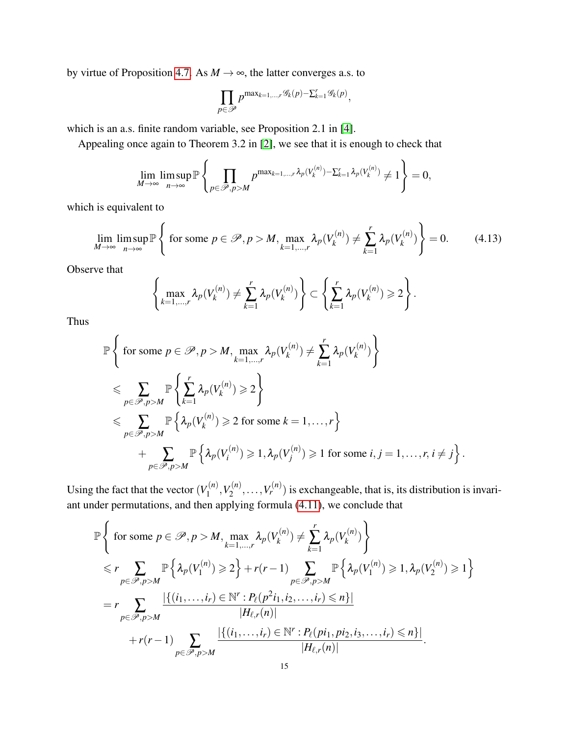by virtue of Proposition [4.7.](#page-11-2) As  $M \rightarrow \infty$ , the latter converges a.s. to

$$
\prod_{p\in\mathscr{P}}p^{\max_{k=1,\ldots,r}\mathscr{G}_k(p)-\sum_{k=1}^r\mathscr{G}_k(p)},
$$

which is an a.s. finite random variable, see Proposition 2.1 in [\[4\]](#page-17-4).

Appealing once again to Theorem 3.2 in [\[2\]](#page-17-6), we see that it is enough to check that

$$
\lim_{M\to\infty}\limsup_{n\to\infty}\mathbb{P}\left\{\prod_{p\in\mathscr{P},p>M}p^{\max_{k=1,\dots,r}\lambda_p(V_k^{(n)})-\sum_{k=1}^r\lambda_p(V_k^{(n)})}\neq1\right\}=0,
$$

which is equivalent to

<span id="page-14-0"></span>
$$
\lim_{M \to \infty} \limsup_{n \to \infty} \mathbb{P}\left\{ \text{ for some } p \in \mathcal{P}, p > M, \max_{k=1,\dots,r} \lambda_p(V_k^{(n)}) \neq \sum_{k=1}^r \lambda_p(V_k^{(n)}) \right\} = 0. \tag{4.13}
$$

Observe that

$$
\left\{\max_{k=1,\ldots,r}\lambda_p(V_k^{(n)})\neq \sum_{k=1}^r\lambda_p(V_k^{(n)})\right\}\subset \left\{\sum_{k=1}^r\lambda_p(V_k^{(n)})\geqslant 2\right\}.
$$

Thus

$$
\mathbb{P}\left\{\text{ for some }p\in\mathcal{P},p>M,\max_{k=1,\ldots,r}\lambda_p(V_k^{(n)})\neq \sum_{k=1}^r\lambda_p(V_k^{(n)})\right\}
$$
  
\$\leqslant \sum\_{p\in\mathcal{P},p>M}\mathbb{P}\left\{\sum\_{k=1}^r\lambda\_p(V\_k^{(n)})\geqslant 2\right\}\$  
\$\leqslant \sum\_{p\in\mathcal{P},p>M}\mathbb{P}\left\{\lambda\_p(V\_k^{(n)})\geqslant 2\text{ for some }k=1,\ldots,r\right\}\$  
 
$$
+\sum_{p\in\mathcal{P},p>M}\mathbb{P}\left\{\lambda_p(V_i^{(n)})\geqslant 1,\lambda_p(V_j^{(n)})\geqslant 1\text{ for some }i,j=1,\ldots,r,i\neq j\right\}.
$$

Using the fact that the vector  $(V_1^{(n)})$  $V_1^{(n)}, V_2^{(n)}$  $v_2^{(n)}, \ldots, V_r^{(n)}$  is exchangeable, that is, its distribution is invariant under permutations, and then applying formula [\(4.11\)](#page-12-0), we conclude that

$$
\mathbb{P}\left\{\text{ for some }p\in\mathcal{P},p>M,\max_{k=1,\ldots,r}\lambda_p(V_k^{(n)})\neq \sum_{k=1}^r\lambda_p(V_k^{(n)})\right\} \n\leq r \sum_{p\in\mathcal{P},p>M} \mathbb{P}\left\{\lambda_p(V_1^{(n)})\geq 2\right\} + r(r-1) \sum_{p\in\mathcal{P},p>M} \mathbb{P}\left\{\lambda_p(V_1^{(n)})\geq 1,\lambda_p(V_2^{(n)})\geq 1\right\} \n= r \sum_{p\in\mathcal{P},p>M} \frac{|\{(i_1,\ldots,i_r)\in\mathbb{N}^r : P_\ell(p^2i_1,i_2,\ldots,i_r)\leq n\}|}{|H_{\ell,r}(n)|} \n+ r(r-1) \sum_{p\in\mathcal{P},p>M} \frac{|\{(i_1,\ldots,i_r)\in\mathbb{N}^r : P_\ell(pi_1,pi_2,i_3,\ldots,i_r)\leq n\}|}{|H_{\ell,r}(n)|}.
$$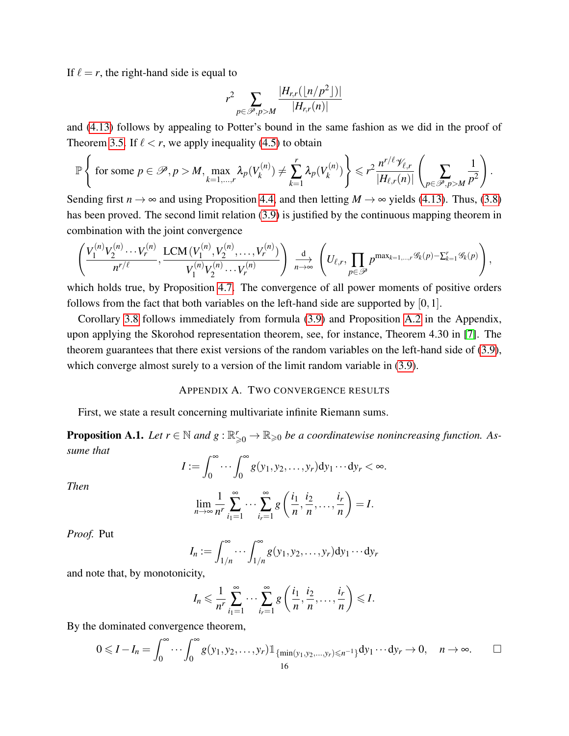If  $\ell = r$ , the right-hand side is equal to

$$
r^2 \sum_{p \in \mathscr{P}, p > M} \frac{|H_{r,r}(\lfloor n/p^2 \rfloor)|}{|H_{r,r}(n)|}
$$

and [\(4.13\)](#page-14-0) follows by appealing to Potter's bound in the same fashion as we did in the proof of Theorem [3.5.](#page-5-3) If  $\ell < r$ , we apply inequality [\(4.5\)](#page-9-0) to obtain

$$
\mathbb{P}\left\{\text{ for some }p\in\mathscr{P},p>M,\max_{k=1,\ldots,r}\lambda_p(V_k^{(n)})\neq \sum_{k=1}^r\lambda_p(V_k^{(n)})\right\}\leq r^2\frac{n^{r/\ell}\mathscr{V}_{\ell,r}}{|H_{\ell,r}(n)|}\left(\sum_{p\in\mathscr{P},p>M}\frac{1}{p^2}\right).
$$

Sending first  $n \to \infty$  and using Proposition [4.4,](#page-8-1) and then letting  $M \to \infty$  yields [\(4.13\)](#page-14-0). Thus, [\(3.8\)](#page-5-2) has been proved. The second limit relation [\(3.9\)](#page-5-1) is justified by the continuous mapping theorem in combination with the joint convergence

$$
\left(\frac{V_1^{(n)}V_2^{(n)}\cdots V_r^{(n)}}{n^{r/\ell}}, \frac{LCM(V_1^{(n)},V_2^{(n)},\ldots,V_r^{(n)})}{V_1^{(n)}V_2^{(n)}\cdots V_r^{(n)}}\right) \xrightarrow[n\to\infty]{d} \left(U_{\ell,r},\prod_{p\in\mathscr{P}}p^{\max_{k=1,\ldots,r}\mathscr{G}_k(p)-\sum_{k=1}^r\mathscr{G}_k(p)}\right),
$$

which holds true, by Proposition [4.7.](#page-11-2) The convergence of all power moments of positive orders follows from the fact that both variables on the left-hand side are supported by [0,1].

Corollary [3.8](#page-6-3) follows immediately from formula [\(3.9\)](#page-5-1) and Proposition [A.2](#page-16-0) in the Appendix, upon applying the Skorohod representation theorem, see, for instance, Theorem 4.30 in [\[7\]](#page-17-7). The theorem guarantees that there exist versions of the random variables on the left-hand side of [\(3.9\)](#page-5-1), which converge almost surely to a version of the limit random variable in  $(3.9)$ .

### APPENDIX A. TWO CONVERGENCE RESULTS

<span id="page-15-1"></span>First, we state a result concerning multivariate infinite Riemann sums.

<span id="page-15-0"></span>**Proposition A.1.** Let  $r \in \mathbb{N}$  and  $g: \mathbb{R}_{\geqslant 0}^r \to \mathbb{R}_{\geqslant 0}$  be a coordinatewise nonincreasing function. As*sume that*

$$
I := \int_0^\infty \cdots \int_0^\infty g(y_1, y_2, \ldots, y_r) dy_1 \cdots dy_r < \infty.
$$

*Then*

$$
\lim_{n \to \infty} \frac{1}{n^r} \sum_{i_1=1}^{\infty} \cdots \sum_{i_r=1}^{\infty} g\left(\frac{i_1}{n}, \frac{i_2}{n}, \dots, \frac{i_r}{n}\right) = I.
$$

*Proof.* Put

$$
I_n := \int_{1/n}^{\infty} \cdots \int_{1/n}^{\infty} g(y_1, y_2, \ldots, y_r) dy_1 \cdots dy_r
$$

and note that, by monotonicity,

$$
I_n \leqslant \frac{1}{n^r} \sum_{i_1=1}^{\infty} \cdots \sum_{i_r=1}^{\infty} g\left(\frac{i_1}{n}, \frac{i_2}{n}, \ldots, \frac{i_r}{n}\right) \leqslant I.
$$

By the dominated convergence theorem,

$$
0 \leqslant I - I_n = \int_0^\infty \cdots \int_0^\infty g(y_1, y_2, \ldots, y_r) \mathbb{1}_{\{\min(y_1, y_2, \ldots, y_r) \leqslant n^{-1}\}} dy_1 \cdots dy_r \to 0, \quad n \to \infty.
$$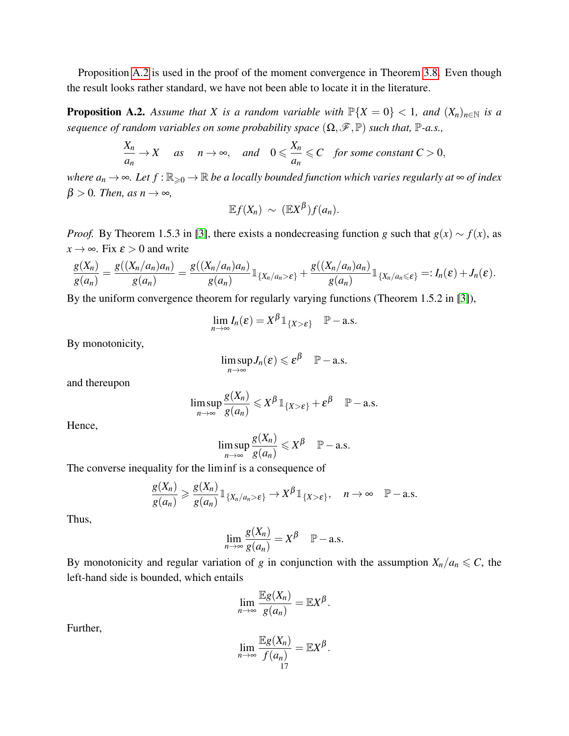Proposition [A.2](#page-16-0) is used in the proof of the moment convergence in Theorem [3.8.](#page-6-3) Even though the result looks rather standard, we have not been able to locate it in the literature.

<span id="page-16-0"></span>**Proposition A.2.** Assume that X is a random variable with  $\mathbb{P}\{X=0\}$  < 1, and  $(X_n)_{n\in\mathbb{N}}$  is a *sequence of random variables on some probability space*  $(\Omega, \mathcal{F}, \mathbb{P})$  *such that,*  $\mathbb{P}$ *-a.s.,* 

$$
\frac{X_n}{a_n} \to X \quad \text{as} \quad n \to \infty, \quad \text{and} \quad 0 \leqslant \frac{X_n}{a_n} \leqslant C \quad \text{for some constant } C > 0,
$$

*where*  $a_n \to \infty$ *. Let*  $f : \mathbb{R}_{\geq 0} \to \mathbb{R}$  *be a locally bounded function which varies regularly at*  $\infty$  *of index*  $\beta > 0$ *. Then, as n*  $\rightarrow \infty$ *,* 

$$
\mathbb{E}f(X_n) \sim (\mathbb{E}X^{\beta})f(a_n).
$$

*Proof.* By Theorem 1.5.3 in [\[3\]](#page-17-2), there exists a nondecreasing function *g* such that  $g(x) \sim f(x)$ , as  $x \rightarrow \infty$ . Fix  $\varepsilon > 0$  and write

$$
\frac{g(X_n)}{g(a_n)}=\frac{g((X_n/a_n)a_n)}{g(a_n)}=\frac{g((X_n/a_n)a_n)}{g(a_n)}1_{\{X_n/a_n>\epsilon\}}+\frac{g((X_n/a_n)a_n)}{g(a_n)}1_{\{X_n/a_n\leqslant\epsilon\}}=:I_n(\epsilon)+J_n(\epsilon).
$$

By the uniform convergence theorem for regularly varying functions (Theorem 1.5.2 in [\[3\]](#page-17-2)),

$$
\lim_{n\to\infty}I_n(\varepsilon)=X^{\beta}\mathbb{1}_{\{X>\varepsilon\}}\quad\mathbb{P}-\text{a.s.}
$$

By monotonicity,

$$
\limsup_{n\to\infty}J_n(\varepsilon)\leqslant \varepsilon^{\beta}\quad \mathbb{P}-\text{a.s.}
$$

and thereupon

$$
\limsup_{n\to\infty}\frac{g(X_n)}{g(a_n)}\leqslant X^{\beta}\mathbb{1}_{\{X>\varepsilon\}}+\varepsilon^{\beta}\quad\mathbb{P}-\text{a.s.}
$$

Hence,

$$
\limsup_{n\to\infty}\frac{g(X_n)}{g(a_n)}\leqslant X^{\beta}\quad\mathbb{P}-\text{a.s.}
$$

The converse inequality for the liminf is a consequence of

$$
\frac{g(X_n)}{g(a_n)} \geq \frac{g(X_n)}{g(a_n)} 1\!\!1_{\{X_n/a_n > \varepsilon\}} \to X^\beta 1\!\!1_{\{X > \varepsilon\}}, \quad n \to \infty \quad P-a.s.
$$

Thus,

$$
\lim_{n\to\infty}\frac{g(X_n)}{g(a_n)}=X^{\beta}\quad\mathbb{P}-\text{a.s.}
$$

By monotonicity and regular variation of *g* in conjunction with the assumption  $X_n/a_n \leq C$ , the left-hand side is bounded, which entails

$$
\lim_{n\to\infty}\frac{\mathbb{E}g(X_n)}{g(a_n)}=\mathbb{E}X^{\beta}.
$$

Further,

$$
\lim_{n\to\infty}\frac{\mathbb{E}g(X_n)}{f(a_n)}=\mathbb{E}X^{\beta}.
$$